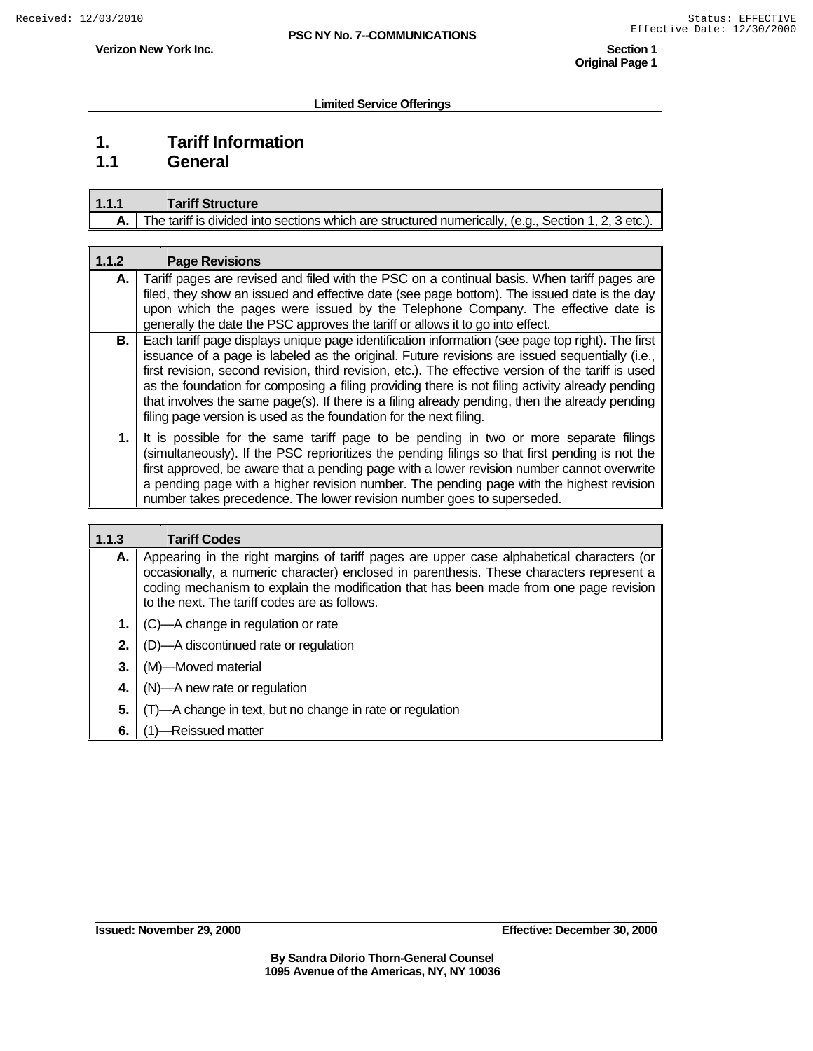**Verizon New York Inc.** Section 1  **Original Page 1** 

### **Limited Service Offerings**

## **1. Tariff Information 1.1 General**

| 1.1.1 | <b>Tariff Structure</b>                                                                                  |  |
|-------|----------------------------------------------------------------------------------------------------------|--|
|       | The tariff is divided into sections which are structured numerically, (e.g., Section 1, 2, 3 etc.). $\ $ |  |

| 1.1.2 | <b>Page Revisions</b>                                                                                                                                                                                                                                                                                                                                                                                                                                                                                                                                                                |
|-------|--------------------------------------------------------------------------------------------------------------------------------------------------------------------------------------------------------------------------------------------------------------------------------------------------------------------------------------------------------------------------------------------------------------------------------------------------------------------------------------------------------------------------------------------------------------------------------------|
| А.    | Tariff pages are revised and filed with the PSC on a continual basis. When tariff pages are                                                                                                                                                                                                                                                                                                                                                                                                                                                                                          |
|       | filed, they show an issued and effective date (see page bottom). The issued date is the day<br>upon which the pages were issued by the Telephone Company. The effective date is                                                                                                                                                                                                                                                                                                                                                                                                      |
|       | generally the date the PSC approves the tariff or allows it to go into effect.                                                                                                                                                                                                                                                                                                                                                                                                                                                                                                       |
| В.    | Each tariff page displays unique page identification information (see page top right). The first<br>issuance of a page is labeled as the original. Future revisions are issued sequentially (i.e.,<br>first revision, second revision, third revision, etc.). The effective version of the tariff is used<br>as the foundation for composing a filing providing there is not filing activity already pending<br>that involves the same page(s). If there is a filing already pending, then the already pending<br>filing page version is used as the foundation for the next filing. |
| 1.    | It is possible for the same tariff page to be pending in two or more separate filings<br>(simultaneously). If the PSC reprioritizes the pending filings so that first pending is not the<br>first approved, be aware that a pending page with a lower revision number cannot overwrite<br>a pending page with a higher revision number. The pending page with the highest revision<br>number takes precedence. The lower revision number goes to superseded.                                                                                                                         |
|       |                                                                                                                                                                                                                                                                                                                                                                                                                                                                                                                                                                                      |
| 1.1.3 | <b>Tariff Codes</b>                                                                                                                                                                                                                                                                                                                                                                                                                                                                                                                                                                  |
| А.    | Appearing in the right margins of tariff pages are upper case alphabetical characters (or<br>occasionally, a numeric character) enclosed in parenthesis. These characters represent a<br>coding mechanism to explain the modification that has been made from one page revision<br>to the next. The tariff codes are as follows.                                                                                                                                                                                                                                                     |
| 1.    | (C)—A change in regulation or rate                                                                                                                                                                                                                                                                                                                                                                                                                                                                                                                                                   |
| 2.    | (D)—A discontinued rate or regulation                                                                                                                                                                                                                                                                                                                                                                                                                                                                                                                                                |
| 3.    | (M)-Moved material                                                                                                                                                                                                                                                                                                                                                                                                                                                                                                                                                                   |

- **4.** | (N)-A new rate or regulation
- **5.**  $\sqrt{(T)}$  Change in text, but no change in rate or regulation
- **6.** (1)—Reissued matter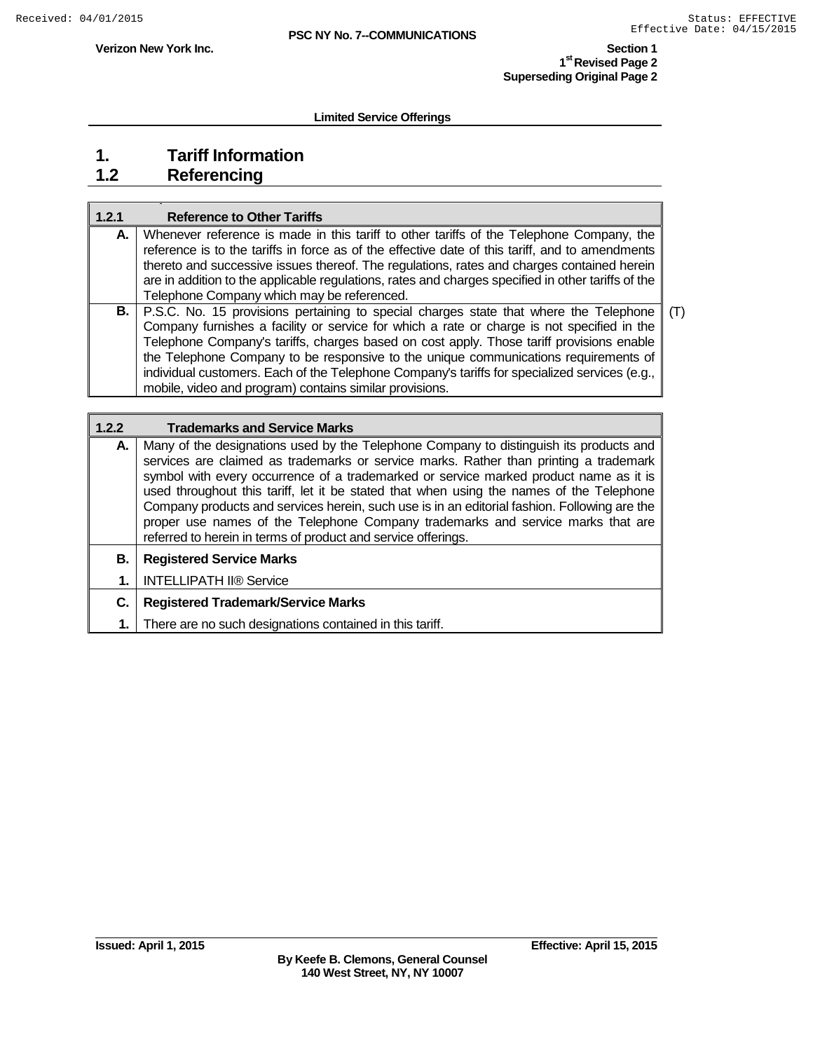$\overline{\mathbf{1}}$ 

**Verizon New York Inc. Section 1** 

**1st Revised Page 2 Superseding Original Page 2**

**Limited Service Offerings**

# **1. Tariff Information**

**1.2 Referencing**

| 1.2.1 | <b>Reference to Other Tariffs</b>                                                                  |     |
|-------|----------------------------------------------------------------------------------------------------|-----|
| А.    | Whenever reference is made in this tariff to other tariffs of the Telephone Company, the           |     |
|       | reference is to the tariffs in force as of the effective date of this tariff, and to amendments    |     |
|       | thereto and successive issues thereof. The regulations, rates and charges contained herein         |     |
|       | are in addition to the applicable regulations, rates and charges specified in other tariffs of the |     |
|       | Telephone Company which may be referenced.                                                         |     |
|       | <b>B.</b>   P.S.C. No. 15 provisions pertaining to special charges state that where the Telephone  | (T) |
|       | Company furnishes a facility or service for which a rate or charge is not specified in the         |     |
|       | Telephone Company's tariffs, charges based on cost apply. Those tariff provisions enable           |     |
|       | the Telephone Company to be responsive to the unique communications requirements of                |     |
|       | individual customers. Each of the Telephone Company's tariffs for specialized services (e.g.,      |     |
|       | mobile, video and program) contains similar provisions.                                            |     |

| 1.2.2 | <b>Trademarks and Service Marks</b>                                                                                                                                                                                                                                                                                                                                                                                                                                                                                                                                                                                      |
|-------|--------------------------------------------------------------------------------------------------------------------------------------------------------------------------------------------------------------------------------------------------------------------------------------------------------------------------------------------------------------------------------------------------------------------------------------------------------------------------------------------------------------------------------------------------------------------------------------------------------------------------|
| А.    | Many of the designations used by the Telephone Company to distinguish its products and<br>services are claimed as trademarks or service marks. Rather than printing a trademark<br>symbol with every occurrence of a trademarked or service marked product name as it is<br>used throughout this tariff, let it be stated that when using the names of the Telephone<br>Company products and services herein, such use is in an editorial fashion. Following are the<br>proper use names of the Telephone Company trademarks and service marks that are<br>referred to herein in terms of product and service offerings. |
| В.    | <b>Registered Service Marks</b>                                                                                                                                                                                                                                                                                                                                                                                                                                                                                                                                                                                          |
| 1.    | <b>INTELLIPATH II® Service</b>                                                                                                                                                                                                                                                                                                                                                                                                                                                                                                                                                                                           |
| C.    | <b>Registered Trademark/Service Marks</b>                                                                                                                                                                                                                                                                                                                                                                                                                                                                                                                                                                                |
| 1.    | There are no such designations contained in this tariff.                                                                                                                                                                                                                                                                                                                                                                                                                                                                                                                                                                 |